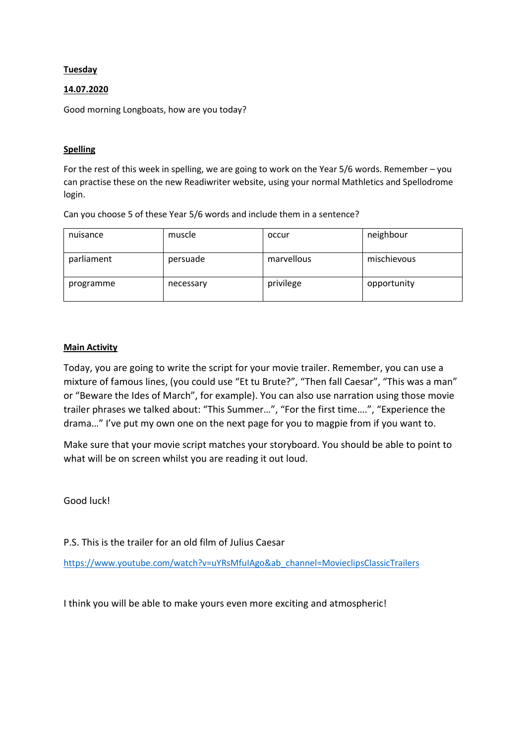# **Tuesday**

## 14.07.2020

Good morning Longboats, how are you today?

# **Spelling**

For the rest of this week in spelling, we are going to work on the Year 5/6 words. Remember – you can practise these on the new Readiwriter website, using your normal Mathletics and Spellodrome login.

Can you choose 5 of these Year 5/6 words and include them in a sentence?

| nuisance   | muscle    | occur      | neighbour   |
|------------|-----------|------------|-------------|
| parliament | persuade  | marvellous | mischievous |
| programme  | necessary | privilege  | opportunity |

## Main Activity

Today, you are going to write the script for your movie trailer. Remember, you can use a mixture of famous lines, (you could use "Et tu Brute?", "Then fall Caesar", "This was a man" or "Beware the Ides of March", for example). You can also use narration using those movie trailer phrases we talked about: "This Summer…", "For the first time….", "Experience the drama…" I've put my own one on the next page for you to magpie from if you want to.

Make sure that your movie script matches your storyboard. You should be able to point to what will be on screen whilst you are reading it out loud.

Good luck!

P.S. This is the trailer for an old film of Julius Caesar

https://www.youtube.com/watch?v=uYRsMfuIAgo&ab\_channel=MovieclipsClassicTrailers

I think you will be able to make yours even more exciting and atmospheric!